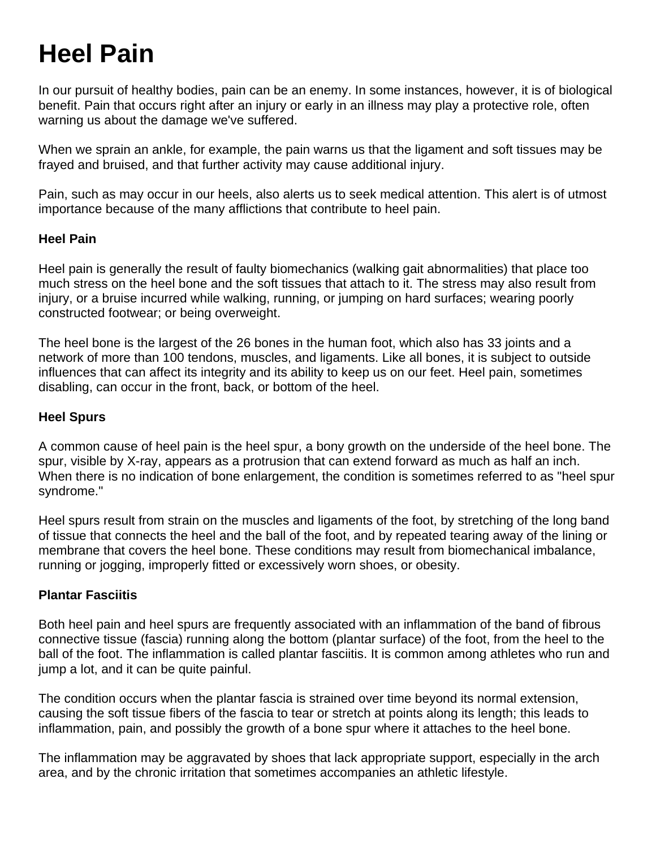# **Heel Pain**

In our pursuit of healthy bodies, pain can be an enemy. In some instances, however, it is of biological benefit. Pain that occurs right after an injury or early in an illness may play a protective role, often warning us about the damage we've suffered.

When we sprain an ankle, for example, the pain warns us that the ligament and soft tissues may be frayed and bruised, and that further activity may cause additional injury.

Pain, such as may occur in our heels, also alerts us to seek medical attention. This alert is of utmost importance because of the many afflictions that contribute to heel pain.

#### **Heel Pain**

Heel pain is generally the result of faulty biomechanics (walking gait abnormalities) that place too much stress on the heel bone and the soft tissues that attach to it. The stress may also result from injury, or a bruise incurred while walking, running, or jumping on hard surfaces; wearing poorly constructed footwear; or being overweight.

The heel bone is the largest of the 26 bones in the human foot, which also has 33 joints and a network of more than 100 tendons, muscles, and ligaments. Like all bones, it is subject to outside influences that can affect its integrity and its ability to keep us on our feet. Heel pain, sometimes disabling, can occur in the front, back, or bottom of the heel.

#### **Heel Spurs**

A common cause of heel pain is the heel spur, a bony growth on the underside of the heel bone. The spur, visible by X-ray, appears as a protrusion that can extend forward as much as half an inch. When there is no indication of bone enlargement, the condition is sometimes referred to as "heel spur syndrome."

Heel spurs result from strain on the muscles and ligaments of the foot, by stretching of the long band of tissue that connects the heel and the ball of the foot, and by repeated tearing away of the lining or membrane that covers the heel bone. These conditions may result from biomechanical imbalance, running or jogging, improperly fitted or excessively worn shoes, or obesity.

#### **Plantar Fasciitis**

Both heel pain and heel spurs are frequently associated with an inflammation of the band of fibrous connective tissue (fascia) running along the bottom (plantar surface) of the foot, from the heel to the ball of the foot. The inflammation is called plantar fasciitis. It is common among athletes who run and jump a lot, and it can be quite painful.

The condition occurs when the plantar fascia is strained over time beyond its normal extension, causing the soft tissue fibers of the fascia to tear or stretch at points along its length; this leads to inflammation, pain, and possibly the growth of a bone spur where it attaches to the heel bone.

The inflammation may be aggravated by shoes that lack appropriate support, especially in the arch area, and by the chronic irritation that sometimes accompanies an athletic lifestyle.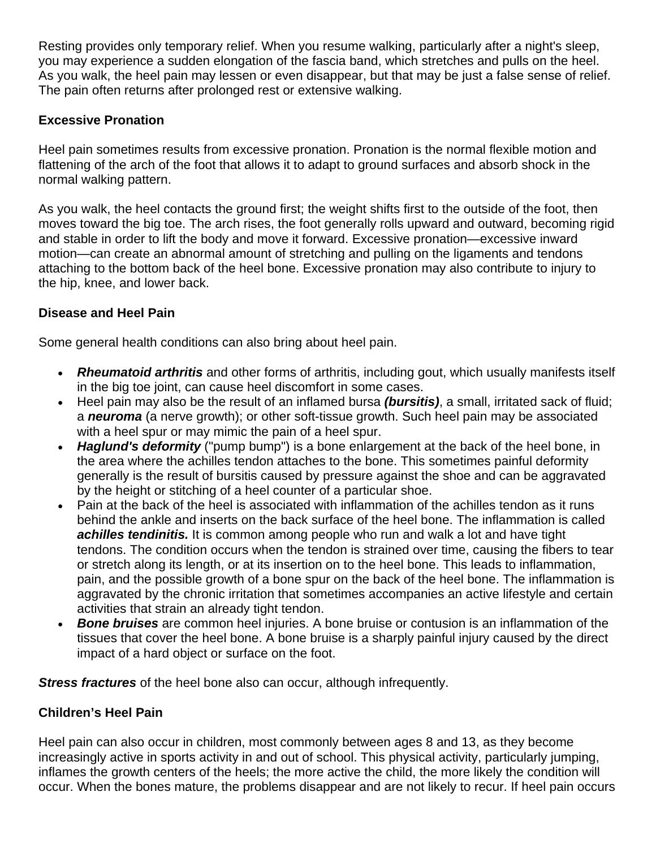Resting provides only temporary relief. When you resume walking, particularly after a night's sleep, you may experience a sudden elongation of the fascia band, which stretches and pulls on the heel. As you walk, the heel pain may lessen or even disappear, but that may be just a false sense of relief. The pain often returns after prolonged rest or extensive walking.

#### **Excessive Pronation**

Heel pain sometimes results from excessive pronation. Pronation is the normal flexible motion and flattening of the arch of the foot that allows it to adapt to ground surfaces and absorb shock in the normal walking pattern.

As you walk, the heel contacts the ground first; the weight shifts first to the outside of the foot, then moves toward the big toe. The arch rises, the foot generally rolls upward and outward, becoming rigid and stable in order to lift the body and move it forward. Excessive pronation—excessive inward motion—can create an abnormal amount of stretching and pulling on the ligaments and tendons attaching to the bottom back of the heel bone. Excessive pronation may also contribute to injury to the hip, knee, and lower back.

#### **Disease and Heel Pain**

Some general health conditions can also bring about heel pain.

- *Rheumatoid arthritis* and other forms of arthritis, including gout, which usually manifests itself in the big toe joint, can cause heel discomfort in some cases.
- Heel pain may also be the result of an inflamed bursa *(bursitis)*, a small, irritated sack of fluid; a *neuroma* (a nerve growth); or other soft-tissue growth. Such heel pain may be associated with a heel spur or may mimic the pain of a heel spur.
- *Haglund's deformity* ("pump bump") is a bone enlargement at the back of the heel bone, in the area where the achilles tendon attaches to the bone. This sometimes painful deformity generally is the result of bursitis caused by pressure against the shoe and can be aggravated by the height or stitching of a heel counter of a particular shoe.
- Pain at the back of the heel is associated with inflammation of the achilles tendon as it runs behind the ankle and inserts on the back surface of the heel bone. The inflammation is called *achilles tendinitis.* It is common among people who run and walk a lot and have tight tendons. The condition occurs when the tendon is strained over time, causing the fibers to tear or stretch along its length, or at its insertion on to the heel bone. This leads to inflammation, pain, and the possible growth of a bone spur on the back of the heel bone. The inflammation is aggravated by the chronic irritation that sometimes accompanies an active lifestyle and certain activities that strain an already tight tendon.
- *Bone bruises* are common heel injuries. A bone bruise or contusion is an inflammation of the tissues that cover the heel bone. A bone bruise is a sharply painful injury caused by the direct impact of a hard object or surface on the foot.

*Stress fractures* of the heel bone also can occur, although infrequently.

#### **Children's Heel Pain**

Heel pain can also occur in children, most commonly between ages 8 and 13, as they become increasingly active in sports activity in and out of school. This physical activity, particularly jumping, inflames the growth centers of the heels; the more active the child, the more likely the condition will occur. When the bones mature, the problems disappear and are not likely to recur. If heel pain occurs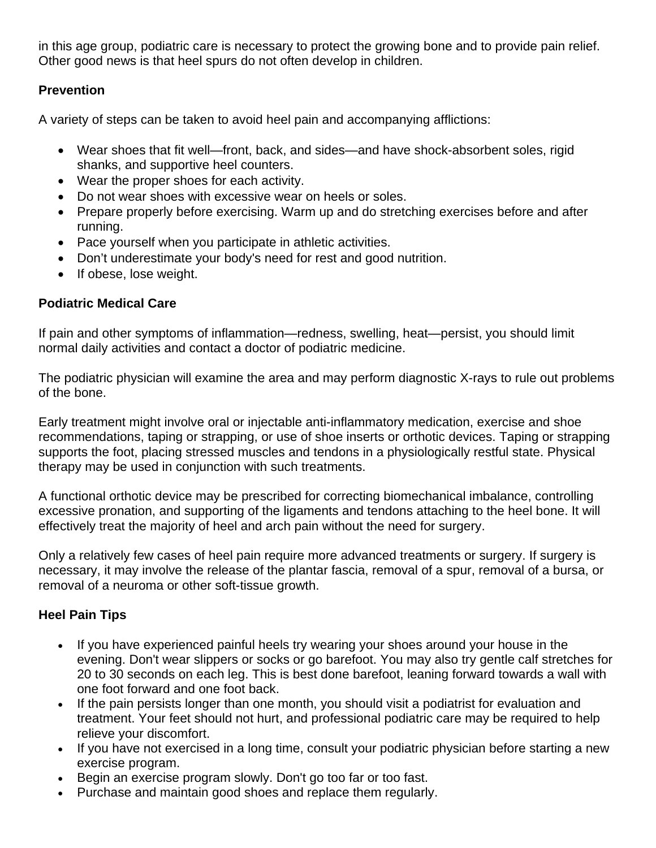in this age group, podiatric care is necessary to protect the growing bone and to provide pain relief. Other good news is that heel spurs do not often develop in children.

#### **Prevention**

A variety of steps can be taken to avoid heel pain and accompanying afflictions:

- Wear shoes that fit well—front, back, and sides—and have shock-absorbent soles, rigid shanks, and supportive heel counters.
- Wear the proper shoes for each activity.
- Do not wear shoes with excessive wear on heels or soles.
- Prepare properly before exercising. Warm up and do stretching exercises before and after running.
- Pace yourself when you participate in athletic activities.
- Don't underestimate your body's need for rest and good nutrition.
- If obese, lose weight.

#### **Podiatric Medical Care**

If pain and other symptoms of inflammation—redness, swelling, heat—persist, you should limit normal daily activities and contact a doctor of podiatric medicine.

The podiatric physician will examine the area and may perform diagnostic X-rays to rule out problems of the bone.

Early treatment might involve oral or injectable anti-inflammatory medication, exercise and shoe recommendations, taping or strapping, or use of shoe inserts or orthotic devices. Taping or strapping supports the foot, placing stressed muscles and tendons in a physiologically restful state. Physical therapy may be used in conjunction with such treatments.

A functional orthotic device may be prescribed for correcting biomechanical imbalance, controlling excessive pronation, and supporting of the ligaments and tendons attaching to the heel bone. It will effectively treat the majority of heel and arch pain without the need for surgery.

Only a relatively few cases of heel pain require more advanced treatments or surgery. If surgery is necessary, it may involve the release of the plantar fascia, removal of a spur, removal of a bursa, or removal of a neuroma or other soft-tissue growth.

#### **Heel Pain Tips**

- If you have experienced painful heels try wearing your shoes around your house in the evening. Don't wear slippers or socks or go barefoot. You may also try gentle calf stretches for 20 to 30 seconds on each leg. This is best done barefoot, leaning forward towards a wall with one foot forward and one foot back.
- If the pain persists longer than one month, you should visit a podiatrist for evaluation and treatment. Your feet should not hurt, and professional podiatric care may be required to help relieve your discomfort.
- If you have not exercised in a long time, consult your podiatric physician before starting a new exercise program.
- Begin an exercise program slowly. Don't go too far or too fast.
- Purchase and maintain good shoes and replace them regularly.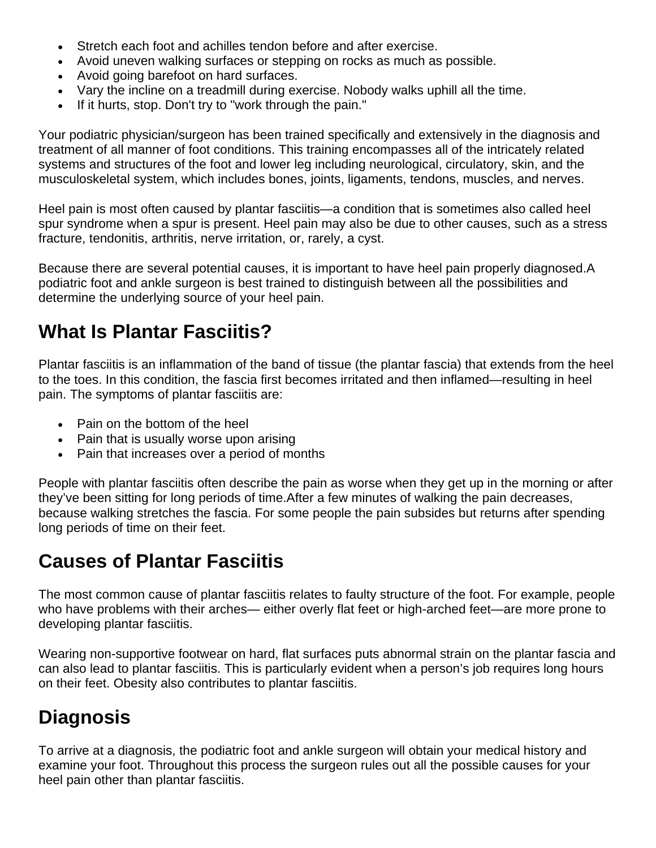- Stretch each foot and achilles tendon before and after exercise.
- Avoid uneven walking surfaces or stepping on rocks as much as possible.
- Avoid going barefoot on hard surfaces.
- Vary the incline on a treadmill during exercise. Nobody walks uphill all the time.
- If it hurts, stop. Don't try to "work through the pain."

Your podiatric physician/surgeon has been trained specifically and extensively in the diagnosis and treatment of all manner of foot conditions. This training encompasses all of the intricately related systems and structures of the foot and lower leg including neurological, circulatory, skin, and the musculoskeletal system, which includes bones, joints, ligaments, tendons, muscles, and nerves.

Heel pain is most often caused by plantar fasciitis—a condition that is sometimes also called heel spur syndrome when a spur is present. Heel pain may also be due to other causes, such as a stress fracture, tendonitis, arthritis, nerve irritation, or, rarely, a cyst.

Because there are several potential causes, it is important to have heel pain properly diagnosed.A podiatric foot and ankle surgeon is best trained to distinguish between all the possibilities and determine the underlying source of your heel pain.

### **What Is Plantar Fasciitis?**

Plantar fasciitis is an inflammation of the band of tissue (the plantar fascia) that extends from the heel to the toes. In this condition, the fascia first becomes irritated and then inflamed—resulting in heel pain. The symptoms of plantar fasciitis are:

- Pain on the bottom of the heel
- Pain that is usually worse upon arising
- Pain that increases over a period of months

People with plantar fasciitis often describe the pain as worse when they get up in the morning or after they've been sitting for long periods of time.After a few minutes of walking the pain decreases, because walking stretches the fascia. For some people the pain subsides but returns after spending long periods of time on their feet.

### **Causes of Plantar Fasciitis**

The most common cause of plantar fasciitis relates to faulty structure of the foot. For example, people who have problems with their arches— either overly flat feet or high-arched feet—are more prone to developing plantar fasciitis.

Wearing non-supportive footwear on hard, flat surfaces puts abnormal strain on the plantar fascia and can also lead to plantar fasciitis. This is particularly evident when a person's job requires long hours on their feet. Obesity also contributes to plantar fasciitis.

## **Diagnosis**

To arrive at a diagnosis, the podiatric foot and ankle surgeon will obtain your medical history and examine your foot. Throughout this process the surgeon rules out all the possible causes for your heel pain other than plantar fasciitis.